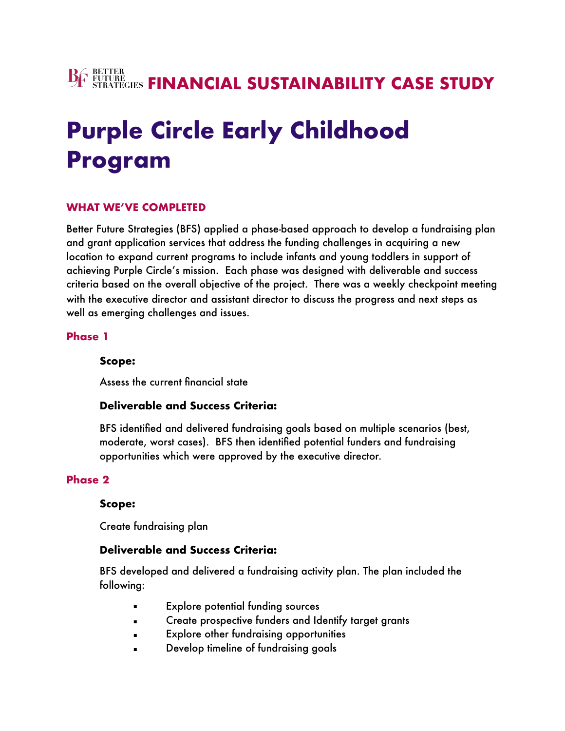# **BE BETTER SUSTAINABILITY CASE STUDY**

# **Purple Circle Early Childhood Program**

#### **WHAT WE'VE COMPLETED**

Better Future Strategies (BFS) applied a phase-based approach to develop a fundraising plan and grant application services that address the funding challenges in acquiring a new location to expand current programs to include infants and young toddlers in support of achieving Purple Circle's mission. Each phase was designed with deliverable and success criteria based on the overall objective of the project. There was a weekly checkpoint meeting with the executive director and assistant director to discuss the progress and next steps as well as emerging challenges and issues.

#### **Phase 1**

#### **Scope:**

Assess the current financial state

#### **Deliverable and Success Criteria:**

BFS identified and delivered fundraising goals based on multiple scenarios (best, moderate, worst cases). BFS then identified potential funders and fundraising opportunities which were approved by the executive director.

#### **Phase 2**

#### **Scope:**

Create fundraising plan

#### **Deliverable and Success Criteria:**

BFS developed and delivered a fundraising activity plan. The plan included the following:

- **Explore potential funding sources**
- **Example 2** Create prospective funders and Identify target grants
- **Explore other fundraising opportunities**
- Develop timeline of fundraising goals